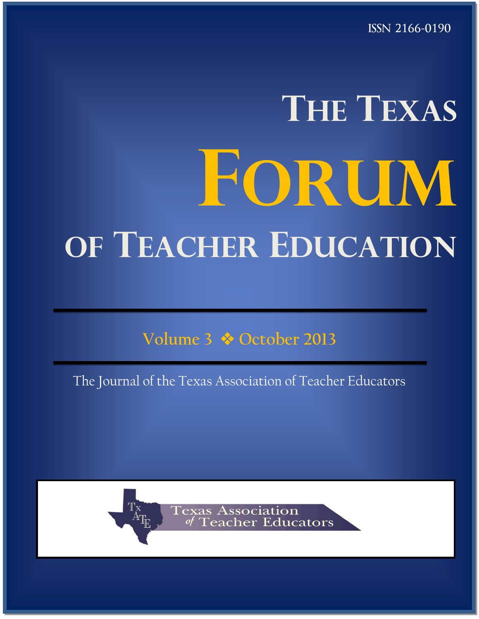ISSN 2166-0190

# **THE TEXAS FORUM OF TEACHER EDUCATION**

**Volume 3 October 2013**

The Journal of the Texas Association of Teacher Educators



**Association** eacher Educators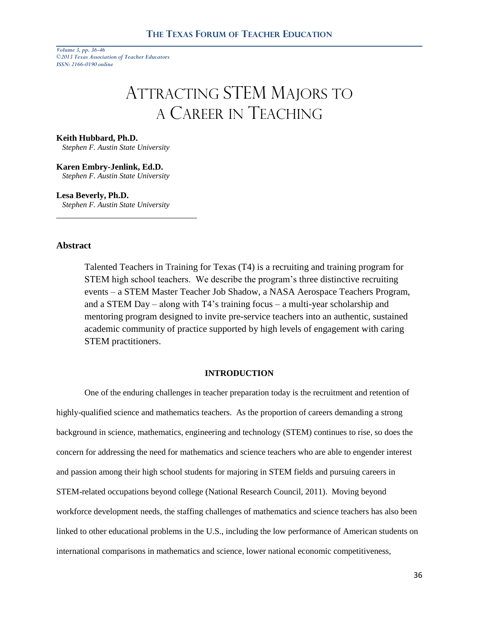# ATTRACTING STEM MAJORS TO A CAREER IN TEACHING

#### **Keith Hubbard, Ph.D.**

 *Stephen F. Austin State University*

**Karen Embry-Jenlink, Ed.D.**  *Stephen F. Austin State University*

**Lesa Beverly, Ph.D.**

 *Stephen F. Austin State University*

# **Abstract**

Talented Teachers in Training for Texas (T4) is a recruiting and training program for STEM high school teachers. We describe the program's three distinctive recruiting events – a STEM Master Teacher Job Shadow, a NASA Aerospace Teachers Program, and a STEM Day – along with T4's training focus – a multi-year scholarship and mentoring program designed to invite pre-service teachers into an authentic, sustained academic community of practice supported by high levels of engagement with caring STEM practitioners.

## **INTRODUCTION**

One of the enduring challenges in teacher preparation today is the recruitment and retention of highly-qualified science and mathematics teachers. As the proportion of careers demanding a strong background in science, mathematics, engineering and technology (STEM) continues to rise, so does the concern for addressing the need for mathematics and science teachers who are able to engender interest and passion among their high school students for majoring in STEM fields and pursuing careers in STEM-related occupations beyond college (National Research Council, 2011). Moving beyond workforce development needs, the staffing challenges of mathematics and science teachers has also been linked to other educational problems in the U.S., including the low performance of American students on international comparisons in mathematics and science, lower national economic competitiveness,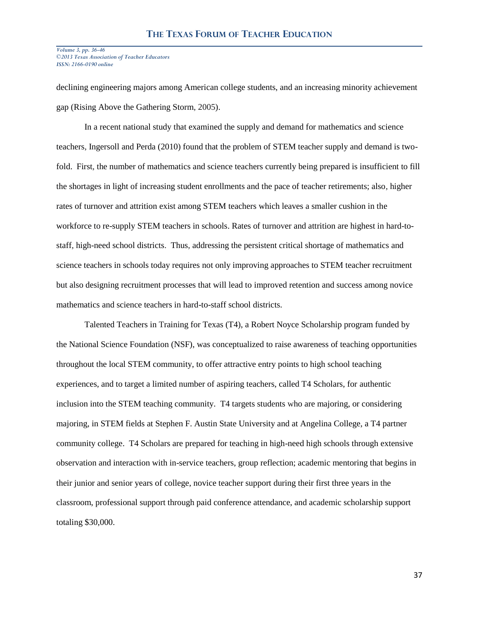declining engineering majors among American college students, and an increasing minority achievement gap (Rising Above the Gathering Storm, 2005).

In a recent national study that examined the supply and demand for mathematics and science teachers, Ingersoll and Perda (2010) found that the problem of STEM teacher supply and demand is twofold. First, the number of mathematics and science teachers currently being prepared is insufficient to fill the shortages in light of increasing student enrollments and the pace of teacher retirements; also, higher rates of turnover and attrition exist among STEM teachers which leaves a smaller cushion in the workforce to re-supply STEM teachers in schools. Rates of turnover and attrition are highest in hard-tostaff, high-need school districts. Thus, addressing the persistent critical shortage of mathematics and science teachers in schools today requires not only improving approaches to STEM teacher recruitment but also designing recruitment processes that will lead to improved retention and success among novice mathematics and science teachers in hard-to-staff school districts.

Talented Teachers in Training for Texas (T4), a Robert Noyce Scholarship program funded by the National Science Foundation (NSF), was conceptualized to raise awareness of teaching opportunities throughout the local STEM community, to offer attractive entry points to high school teaching experiences, and to target a limited number of aspiring teachers, called T4 Scholars, for authentic inclusion into the STEM teaching community. T4 targets students who are majoring, or considering majoring, in STEM fields at Stephen F. Austin State University and at Angelina College, a T4 partner community college. T4 Scholars are prepared for teaching in high-need high schools through extensive observation and interaction with in-service teachers, group reflection; academic mentoring that begins in their junior and senior years of college, novice teacher support during their first three years in the classroom, professional support through paid conference attendance, and academic scholarship support totaling \$30,000.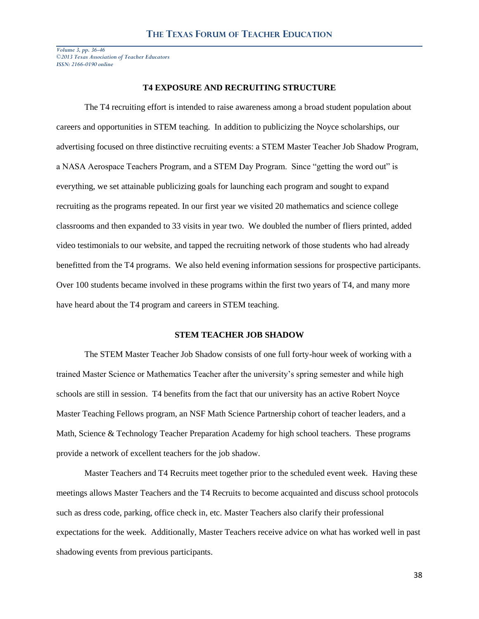## **T4 EXPOSURE AND RECRUITING STRUCTURE**

The T4 recruiting effort is intended to raise awareness among a broad student population about careers and opportunities in STEM teaching. In addition to publicizing the Noyce scholarships, our advertising focused on three distinctive recruiting events: a STEM Master Teacher Job Shadow Program, a NASA Aerospace Teachers Program, and a STEM Day Program. Since "getting the word out" is everything, we set attainable publicizing goals for launching each program and sought to expand recruiting as the programs repeated. In our first year we visited 20 mathematics and science college classrooms and then expanded to 33 visits in year two. We doubled the number of fliers printed, added video testimonials to our website, and tapped the recruiting network of those students who had already benefitted from the T4 programs. We also held evening information sessions for prospective participants. Over 100 students became involved in these programs within the first two years of T4, and many more have heard about the T4 program and careers in STEM teaching.

# **STEM TEACHER JOB SHADOW**

The STEM Master Teacher Job Shadow consists of one full forty-hour week of working with a trained Master Science or Mathematics Teacher after the university's spring semester and while high schools are still in session. T4 benefits from the fact that our university has an active Robert Noyce Master Teaching Fellows program, an NSF Math Science Partnership cohort of teacher leaders, and a Math, Science & Technology Teacher Preparation Academy for high school teachers. These programs provide a network of excellent teachers for the job shadow.

Master Teachers and T4 Recruits meet together prior to the scheduled event week. Having these meetings allows Master Teachers and the T4 Recruits to become acquainted and discuss school protocols such as dress code, parking, office check in, etc. Master Teachers also clarify their professional expectations for the week. Additionally, Master Teachers receive advice on what has worked well in past shadowing events from previous participants.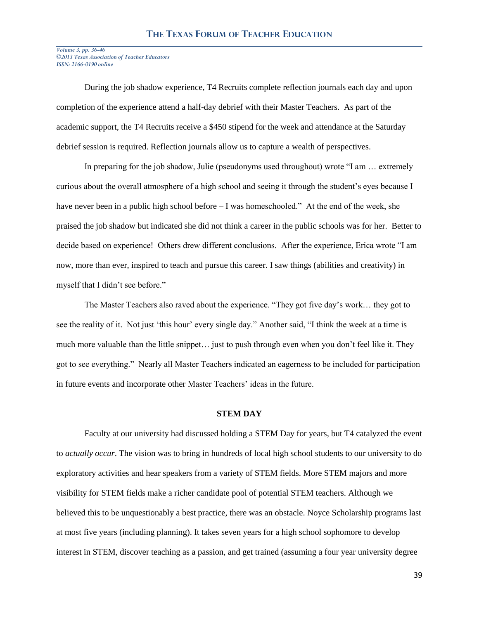During the job shadow experience, T4 Recruits complete reflection journals each day and upon completion of the experience attend a half-day debrief with their Master Teachers. As part of the academic support, the T4 Recruits receive a \$450 stipend for the week and attendance at the Saturday debrief session is required. Reflection journals allow us to capture a wealth of perspectives.

In preparing for the job shadow, Julie (pseudonyms used throughout) wrote "I am … extremely curious about the overall atmosphere of a high school and seeing it through the student's eyes because I have never been in a public high school before – I was homeschooled." At the end of the week, she praised the job shadow but indicated she did not think a career in the public schools was for her. Better to decide based on experience! Others drew different conclusions. After the experience, Erica wrote "I am now, more than ever, inspired to teach and pursue this career. I saw things (abilities and creativity) in myself that I didn't see before."

The Master Teachers also raved about the experience. "They got five day's work… they got to see the reality of it. Not just 'this hour' every single day." Another said, "I think the week at a time is much more valuable than the little snippet… just to push through even when you don't feel like it. They got to see everything." Nearly all Master Teachers indicated an eagerness to be included for participation in future events and incorporate other Master Teachers' ideas in the future.

# **STEM DAY**

Faculty at our university had discussed holding a STEM Day for years, but T4 catalyzed the event to *actually occur*. The vision was to bring in hundreds of local high school students to our university to do exploratory activities and hear speakers from a variety of STEM fields. More STEM majors and more visibility for STEM fields make a richer candidate pool of potential STEM teachers. Although we believed this to be unquestionably a best practice, there was an obstacle. Noyce Scholarship programs last at most five years (including planning). It takes seven years for a high school sophomore to develop interest in STEM, discover teaching as a passion, and get trained (assuming a four year university degree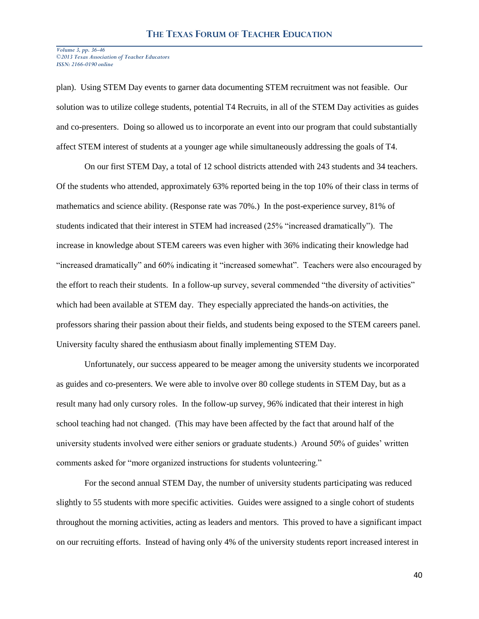plan). Using STEM Day events to garner data documenting STEM recruitment was not feasible. Our solution was to utilize college students, potential T4 Recruits, in all of the STEM Day activities as guides and co-presenters. Doing so allowed us to incorporate an event into our program that could substantially affect STEM interest of students at a younger age while simultaneously addressing the goals of T4.

On our first STEM Day, a total of 12 school districts attended with 243 students and 34 teachers. Of the students who attended, approximately 63% reported being in the top 10% of their class in terms of mathematics and science ability. (Response rate was 70%.) In the post-experience survey, 81% of students indicated that their interest in STEM had increased (25% "increased dramatically"). The increase in knowledge about STEM careers was even higher with 36% indicating their knowledge had "increased dramatically" and 60% indicating it "increased somewhat". Teachers were also encouraged by the effort to reach their students. In a follow-up survey, several commended "the diversity of activities" which had been available at STEM day. They especially appreciated the hands-on activities, the professors sharing their passion about their fields, and students being exposed to the STEM careers panel. University faculty shared the enthusiasm about finally implementing STEM Day.

Unfortunately, our success appeared to be meager among the university students we incorporated as guides and co-presenters. We were able to involve over 80 college students in STEM Day, but as a result many had only cursory roles. In the follow-up survey, 96% indicated that their interest in high school teaching had not changed. (This may have been affected by the fact that around half of the university students involved were either seniors or graduate students.) Around 50% of guides' written comments asked for "more organized instructions for students volunteering."

For the second annual STEM Day, the number of university students participating was reduced slightly to 55 students with more specific activities. Guides were assigned to a single cohort of students throughout the morning activities, acting as leaders and mentors. This proved to have a significant impact on our recruiting efforts. Instead of having only 4% of the university students report increased interest in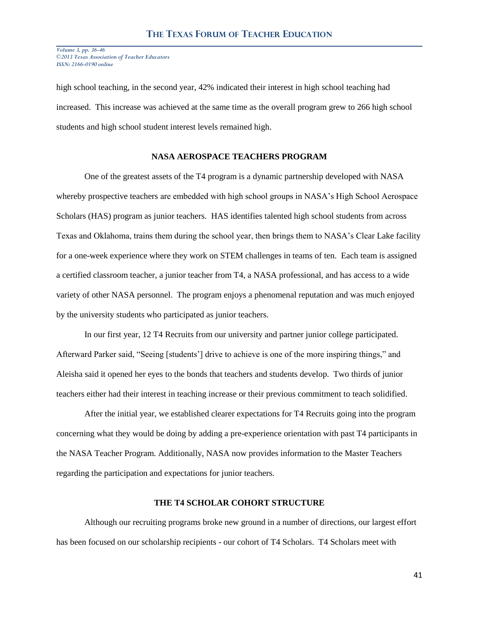high school teaching, in the second year, 42% indicated their interest in high school teaching had increased. This increase was achieved at the same time as the overall program grew to 266 high school students and high school student interest levels remained high.

# **NASA AEROSPACE TEACHERS PROGRAM**

One of the greatest assets of the T4 program is a dynamic partnership developed with NASA whereby prospective teachers are embedded with high school groups in NASA's High School Aerospace Scholars (HAS) program as junior teachers. HAS identifies talented high school students from across Texas and Oklahoma, trains them during the school year, then brings them to NASA's Clear Lake facility for a one-week experience where they work on STEM challenges in teams of ten. Each team is assigned a certified classroom teacher, a junior teacher from T4, a NASA professional, and has access to a wide variety of other NASA personnel. The program enjoys a phenomenal reputation and was much enjoyed by the university students who participated as junior teachers.

In our first year, 12 T4 Recruits from our university and partner junior college participated. Afterward Parker said, "Seeing [students'] drive to achieve is one of the more inspiring things," and Aleisha said it opened her eyes to the bonds that teachers and students develop. Two thirds of junior teachers either had their interest in teaching increase or their previous commitment to teach solidified.

After the initial year, we established clearer expectations for T4 Recruits going into the program concerning what they would be doing by adding a pre-experience orientation with past T4 participants in the NASA Teacher Program. Additionally, NASA now provides information to the Master Teachers regarding the participation and expectations for junior teachers.

# **THE T4 SCHOLAR COHORT STRUCTURE**

Although our recruiting programs broke new ground in a number of directions, our largest effort has been focused on our scholarship recipients - our cohort of T4 Scholars. T4 Scholars meet with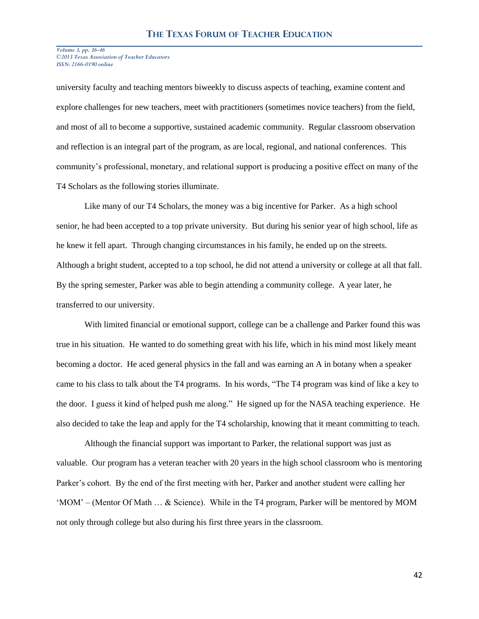university faculty and teaching mentors biweekly to discuss aspects of teaching, examine content and explore challenges for new teachers, meet with practitioners (sometimes novice teachers) from the field, and most of all to become a supportive, sustained academic community. Regular classroom observation and reflection is an integral part of the program, as are local, regional, and national conferences. This community's professional, monetary, and relational support is producing a positive effect on many of the T4 Scholars as the following stories illuminate.

Like many of our T4 Scholars, the money was a big incentive for Parker. As a high school senior, he had been accepted to a top private university. But during his senior year of high school, life as he knew it fell apart. Through changing circumstances in his family, he ended up on the streets. Although a bright student, accepted to a top school, he did not attend a university or college at all that fall. By the spring semester, Parker was able to begin attending a community college. A year later, he transferred to our university.

With limited financial or emotional support, college can be a challenge and Parker found this was true in his situation. He wanted to do something great with his life, which in his mind most likely meant becoming a doctor. He aced general physics in the fall and was earning an A in botany when a speaker came to his class to talk about the T4 programs. In his words, "The T4 program was kind of like a key to the door. I guess it kind of helped push me along." He signed up for the NASA teaching experience. He also decided to take the leap and apply for the T4 scholarship, knowing that it meant committing to teach.

Although the financial support was important to Parker, the relational support was just as valuable. Our program has a veteran teacher with 20 years in the high school classroom who is mentoring Parker's cohort. By the end of the first meeting with her, Parker and another student were calling her 'MOM' – (Mentor Of Math … & Science). While in the T4 program, Parker will be mentored by MOM not only through college but also during his first three years in the classroom.

42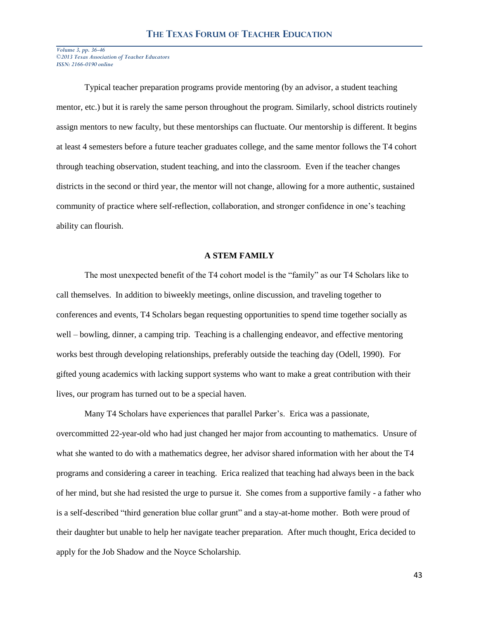Typical teacher preparation programs provide mentoring (by an advisor, a student teaching mentor, etc.) but it is rarely the same person throughout the program. Similarly, school districts routinely assign mentors to new faculty, but these mentorships can fluctuate. Our mentorship is different. It begins at least 4 semesters before a future teacher graduates college, and the same mentor follows the T4 cohort through teaching observation, student teaching, and into the classroom. Even if the teacher changes districts in the second or third year, the mentor will not change, allowing for a more authentic, sustained community of practice where self-reflection, collaboration, and stronger confidence in one's teaching ability can flourish.

## **A STEM FAMILY**

The most unexpected benefit of the T4 cohort model is the "family" as our T4 Scholars like to call themselves. In addition to biweekly meetings, online discussion, and traveling together to conferences and events, T4 Scholars began requesting opportunities to spend time together socially as well – bowling, dinner, a camping trip. Teaching is a challenging endeavor, and effective mentoring works best through developing relationships, preferably outside the teaching day (Odell, 1990). For gifted young academics with lacking support systems who want to make a great contribution with their lives, our program has turned out to be a special haven.

Many T4 Scholars have experiences that parallel Parker's. Erica was a passionate, overcommitted 22-year-old who had just changed her major from accounting to mathematics. Unsure of what she wanted to do with a mathematics degree, her advisor shared information with her about the T4 programs and considering a career in teaching. Erica realized that teaching had always been in the back of her mind, but she had resisted the urge to pursue it. She comes from a supportive family - a father who is a self-described "third generation blue collar grunt" and a stay-at-home mother. Both were proud of their daughter but unable to help her navigate teacher preparation. After much thought, Erica decided to apply for the Job Shadow and the Noyce Scholarship.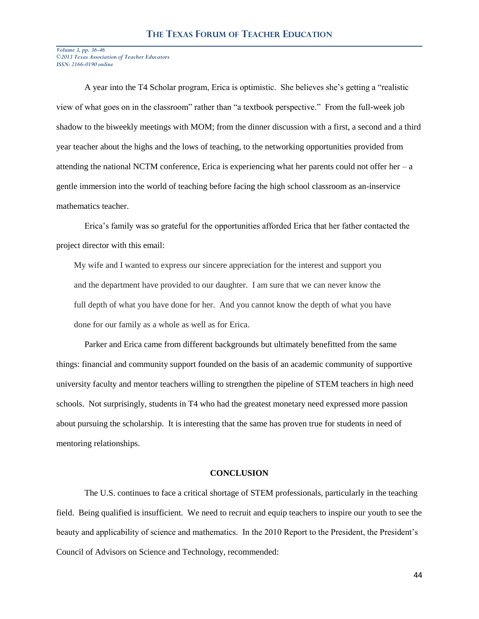A year into the T4 Scholar program, Erica is optimistic. She believes she's getting a "realistic view of what goes on in the classroom" rather than "a textbook perspective." From the full-week job shadow to the biweekly meetings with MOM; from the dinner discussion with a first, a second and a third year teacher about the highs and the lows of teaching, to the networking opportunities provided from attending the national NCTM conference, Erica is experiencing what her parents could not offer her  $-a$ gentle immersion into the world of teaching before facing the high school classroom as an-inservice mathematics teacher.

Erica's family was so grateful for the opportunities afforded Erica that her father contacted the project director with this email:

My wife and I wanted to express our sincere appreciation for the interest and support you and the department have provided to our daughter. I am sure that we can never know the full depth of what you have done for her. And you cannot know the depth of what you have done for our family as a whole as well as for Erica.

Parker and Erica came from different backgrounds but ultimately benefitted from the same things: financial and community support founded on the basis of an academic community of supportive university faculty and mentor teachers willing to strengthen the pipeline of STEM teachers in high need schools. Not surprisingly, students in T4 who had the greatest monetary need expressed more passion about pursuing the scholarship. It is interesting that the same has proven true for students in need of mentoring relationships.

# **CONCLUSION**

The U.S. continues to face a critical shortage of STEM professionals, particularly in the teaching field. Being qualified is insufficient. We need to recruit and equip teachers to inspire our youth to see the beauty and applicability of science and mathematics. In the 2010 Report to the President, the President's Council of Advisors on Science and Technology, recommended: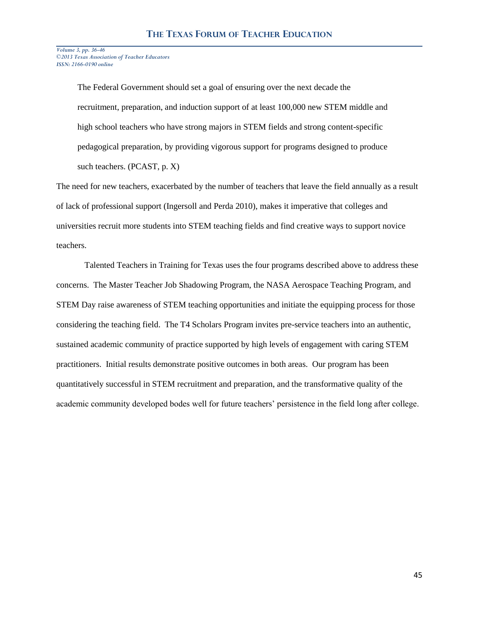> The Federal Government should set a goal of ensuring over the next decade the recruitment, preparation, and induction support of at least 100,000 new STEM middle and high school teachers who have strong majors in STEM fields and strong content-specific pedagogical preparation, by providing vigorous support for programs designed to produce such teachers. (PCAST, p. X)

The need for new teachers, exacerbated by the number of teachers that leave the field annually as a result of lack of professional support (Ingersoll and Perda 2010), makes it imperative that colleges and universities recruit more students into STEM teaching fields and find creative ways to support novice teachers.

Talented Teachers in Training for Texas uses the four programs described above to address these concerns. The Master Teacher Job Shadowing Program, the NASA Aerospace Teaching Program, and STEM Day raise awareness of STEM teaching opportunities and initiate the equipping process for those considering the teaching field. The T4 Scholars Program invites pre-service teachers into an authentic, sustained academic community of practice supported by high levels of engagement with caring STEM practitioners. Initial results demonstrate positive outcomes in both areas. Our program has been quantitatively successful in STEM recruitment and preparation, and the transformative quality of the academic community developed bodes well for future teachers' persistence in the field long after college.